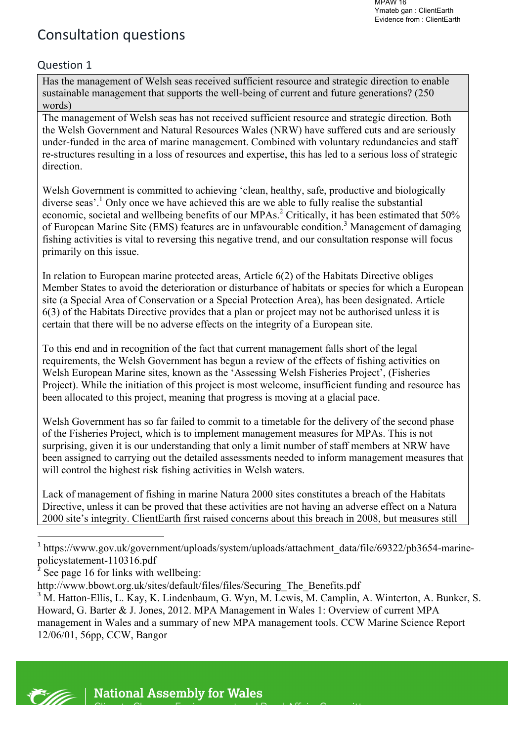# Consultation questions

# Question 1

Has the management of Welsh seas received sufficient resource and strategic direction to enable sustainable management that supports the well-being of current and future generations? (250 words)

The management of Welsh seas has not received sufficient resource and strategic direction. Both the Welsh Government and Natural Resources Wales (NRW) have suffered cuts and are seriously under-funded in the area of marine management. Combined with voluntary redundancies and staff re-structures resulting in a loss of resources and expertise, this has led to a serious loss of strategic direction.

Welsh Government is committed to achieving 'clean, healthy, safe, productive and biologically diverse seas'.<sup>1</sup> Only once we have achieved this are we able to fully realise the substantial economic, societal and wellbeing benefits of our MPAs.<sup>2</sup> Critically, it has been estimated that 50% of European Marine Site (EMS) features are in unfavourable condition.<sup>3</sup> Management of damaging fishing activities is vital to reversing this negative trend, and our consultation response will focus primarily on this issue.

In relation to European marine protected areas, Article 6(2) of the Habitats Directive obliges Member States to avoid the deterioration or disturbance of habitats or species for which a European site (a Special Area of Conservation or a Special Protection Area), has been designated. Article 6(3) of the Habitats Directive provides that a plan or project may not be authorised unless it is certain that there will be no adverse effects on the integrity of a European site.

To this end and in recognition of the fact that current management falls short of the legal requirements, the Welsh Government has begun a review of the effects of fishing activities on Welsh European Marine sites, known as the 'Assessing Welsh Fisheries Project', (Fisheries Project). While the initiation of this project is most welcome, insufficient funding and resource has been allocated to this project, meaning that progress is moving at a glacial pace.

Welsh Government has so far failed to commit to a timetable for the delivery of the second phase of the Fisheries Project, which is to implement management measures for MPAs. This is not surprising, given it is our understanding that only a limit number of staff members at NRW have been assigned to carrying out the detailed assessments needed to inform management measures that will control the highest risk fishing activities in Welsh waters.

Lack of management of fishing in marine Natura 2000 sites constitutes a breach of the Habitats Directive, unless it can be proved that these activities are not having an adverse effect on a Natura 2000 site's integrity. ClientEarth first raised concerns about this breach in 2008, but measures still

 



<sup>&</sup>lt;sup>1</sup> https://www.gov.uk/government/uploads/system/uploads/attachment\_data/file/69322/pb3654-marinepolicystatement-110316.pdf

See page 16 for links with wellbeing:

http://www.bbowt.org.uk/sites/default/files/files/Securing\_The\_Benefits.pdf

<sup>&</sup>lt;sup>3</sup> M. Hatton-Ellis, L. Kay, K. Lindenbaum, G. Wyn, M. Lewis, M. Camplin, A. Winterton, A. Bunker, S. Howard, G. Barter & J. Jones, 2012. MPA Management in Wales 1: Overview of current MPA management in Wales and a summary of new MPA management tools. CCW Marine Science Report 12/06/01, 56pp, CCW, Bangor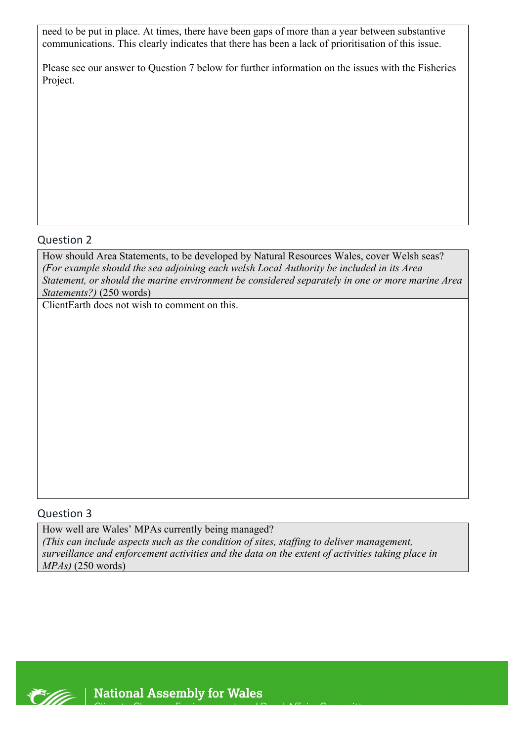need to be put in place. At times, there have been gaps of more than a year between substantive communications. This clearly indicates that there has been a lack of prioritisation of this issue.

Please see our answer to Question 7 below for further information on the issues with the Fisheries Project.

#### Question 2

How should Area Statements, to be developed by Natural Resources Wales, cover Welsh seas? *(For example should the sea adjoining each welsh Local Authority be included in its Area Statement, or should the marine environment be considered separately in one or more marine Area Statements?)* (250 words)

ClientEarth does not wish to comment on this.

#### Question 3

How well are Wales' MPAs currently being managed? *(This can include aspects such as the condition of sites, staffing to deliver management, surveillance and enforcement activities and the data on the extent of activities taking place in MPAs)* (250 words)

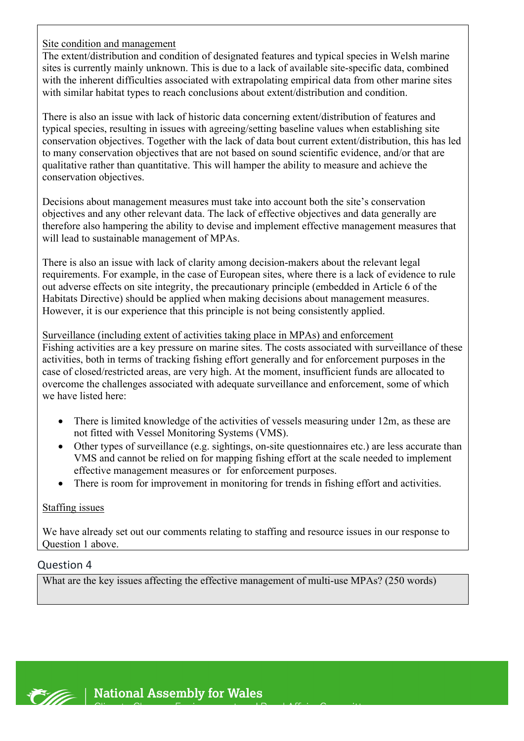Site condition and management

The extent/distribution and condition of designated features and typical species in Welsh marine sites is currently mainly unknown. This is due to a lack of available site-specific data, combined with the inherent difficulties associated with extrapolating empirical data from other marine sites with similar habitat types to reach conclusions about extent/distribution and condition.

There is also an issue with lack of historic data concerning extent/distribution of features and typical species, resulting in issues with agreeing/setting baseline values when establishing site conservation objectives. Together with the lack of data bout current extent/distribution, this has led to many conservation objectives that are not based on sound scientific evidence, and/or that are qualitative rather than quantitative. This will hamper the ability to measure and achieve the conservation objectives.

Decisions about management measures must take into account both the site's conservation objectives and any other relevant data. The lack of effective objectives and data generally are therefore also hampering the ability to devise and implement effective management measures that will lead to sustainable management of MPAs.

There is also an issue with lack of clarity among decision-makers about the relevant legal requirements. For example, in the case of European sites, where there is a lack of evidence to rule out adverse effects on site integrity, the precautionary principle (embedded in Article 6 of the Habitats Directive) should be applied when making decisions about management measures. However, it is our experience that this principle is not being consistently applied.

Surveillance (including extent of activities taking place in MPAs) and enforcement Fishing activities are a key pressure on marine sites. The costs associated with surveillance of these activities, both in terms of tracking fishing effort generally and for enforcement purposes in the case of closed/restricted areas, are very high. At the moment, insufficient funds are allocated to overcome the challenges associated with adequate surveillance and enforcement, some of which we have listed here:

- There is limited knowledge of the activities of vessels measuring under 12m, as these are not fitted with Vessel Monitoring Systems (VMS).
- Other types of surveillance (e.g. sightings, on-site questionnaires etc.) are less accurate than VMS and cannot be relied on for mapping fishing effort at the scale needed to implement effective management measures or for enforcement purposes.
- There is room for improvement in monitoring for trends in fishing effort and activities.

### Staffing issues

We have already set out our comments relating to staffing and resource issues in our response to Question 1 above.

#### Question 4

What are the key issues affecting the effective management of multi-use MPAs? (250 words)

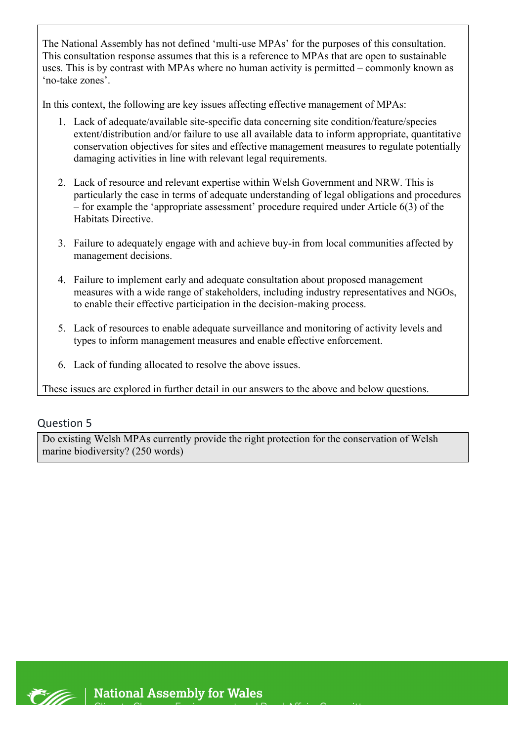The National Assembly has not defined 'multi-use MPAs' for the purposes of this consultation. This consultation response assumes that this is a reference to MPAs that are open to sustainable uses. This is by contrast with MPAs where no human activity is permitted – commonly known as 'no-take zones'.

In this context, the following are key issues affecting effective management of MPAs:

- 1. Lack of adequate/available site-specific data concerning site condition/feature/species extent/distribution and/or failure to use all available data to inform appropriate, quantitative conservation objectives for sites and effective management measures to regulate potentially damaging activities in line with relevant legal requirements.
- 2. Lack of resource and relevant expertise within Welsh Government and NRW. This is particularly the case in terms of adequate understanding of legal obligations and procedures – for example the 'appropriate assessment' procedure required under Article 6(3) of the Habitats Directive.
- 3. Failure to adequately engage with and achieve buy-in from local communities affected by management decisions.
- 4. Failure to implement early and adequate consultation about proposed management measures with a wide range of stakeholders, including industry representatives and NGOs, to enable their effective participation in the decision-making process.
- 5. Lack of resources to enable adequate surveillance and monitoring of activity levels and types to inform management measures and enable effective enforcement.
- 6. Lack of funding allocated to resolve the above issues.

These issues are explored in further detail in our answers to the above and below questions.

# Question 5

Do existing Welsh MPAs currently provide the right protection for the conservation of Welsh marine biodiversity? (250 words)

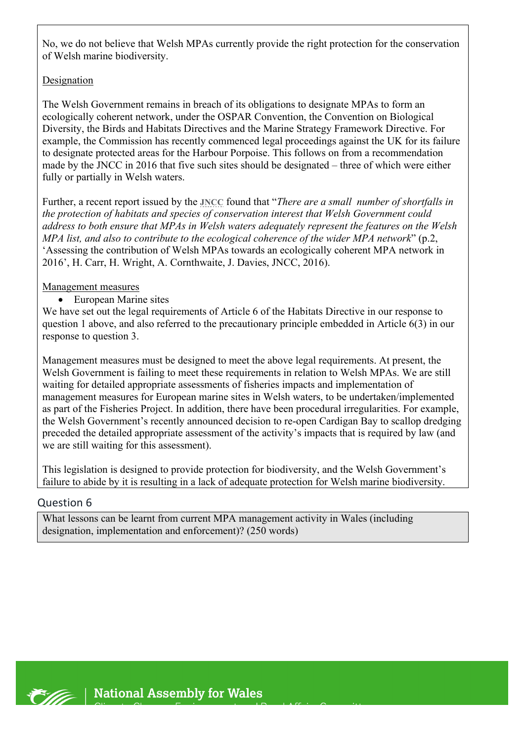No, we do not believe that Welsh MPAs currently provide the right protection for the conservation of Welsh marine biodiversity.

#### Designation

The Welsh Government remains in breach of its obligations to designate MPAs to form an ecologically coherent network, under the OSPAR Convention, the Convention on Biological Diversity, the Birds and Habitats Directives and the Marine Strategy Framework Directive. For example, the Commission has recently commenced legal proceedings against the UK for its failure to designate protected areas for the Harbour Porpoise. This follows on from a recommendation made by the JNCC in 2016 that five such sites should be designated – three of which were either fully or partially in Welsh waters.

Further, a recent report issued by the **JNCC** found that "*There are a small number of shortfalls in the protection of habitats and species of conservation interest that Welsh Government could address to both ensure that MPAs in Welsh waters adequately represent the features on the Welsh MPA list, and also to contribute to the ecological coherence of the wider MPA network*" (p.2, 'Assessing the contribution of Welsh MPAs towards an ecologically coherent MPA network in 2016', H. Carr, H. Wright, A. Cornthwaite, J. Davies, JNCC, 2016).

#### Management measures

• European Marine sites

We have set out the legal requirements of Article 6 of the Habitats Directive in our response to question 1 above, and also referred to the precautionary principle embedded in Article 6(3) in our response to question 3.

Management measures must be designed to meet the above legal requirements. At present, the Welsh Government is failing to meet these requirements in relation to Welsh MPAs. We are still waiting for detailed appropriate assessments of fisheries impacts and implementation of management measures for European marine sites in Welsh waters, to be undertaken/implemented as part of the Fisheries Project. In addition, there have been procedural irregularities. For example, the Welsh Government's recently announced decision to re-open Cardigan Bay to scallop dredging preceded the detailed appropriate assessment of the activity's impacts that is required by law (and we are still waiting for this assessment).

This legislation is designed to provide protection for biodiversity, and the Welsh Government's failure to abide by it is resulting in a lack of adequate protection for Welsh marine biodiversity.

#### Question 6

What lessons can be learnt from current MPA management activity in Wales (including designation, implementation and enforcement)? (250 words)

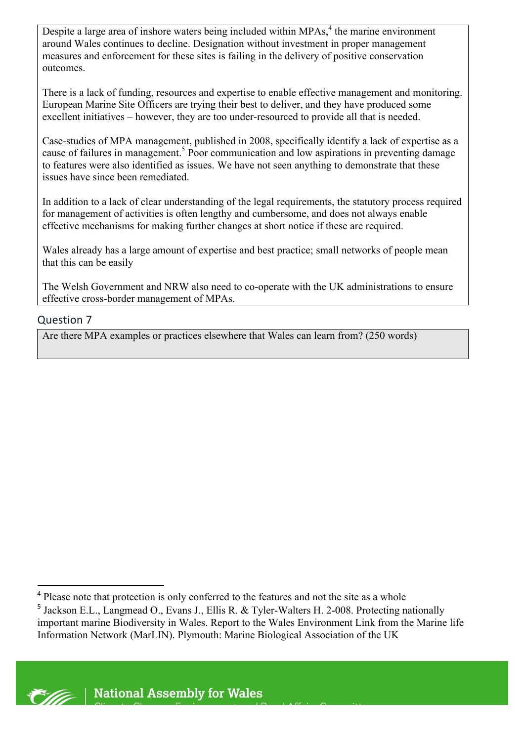Despite a large area of inshore waters being included within MPAs,<sup>4</sup> the marine environment around Wales continues to decline. Designation without investment in proper management measures and enforcement for these sites is failing in the delivery of positive conservation outcomes.

There is a lack of funding, resources and expertise to enable effective management and monitoring. European Marine Site Officers are trying their best to deliver, and they have produced some excellent initiatives – however, they are too under-resourced to provide all that is needed.

Case-studies of MPA management, published in 2008, specifically identify a lack of expertise as a cause of failures in management. <sup>5</sup> Poor communication and low aspirations in preventing damage to features were also identified as issues. We have not seen anything to demonstrate that these issues have since been remediated.

In addition to a lack of clear understanding of the legal requirements, the statutory process required for management of activities is often lengthy and cumbersome, and does not always enable effective mechanisms for making further changes at short notice if these are required.

Wales already has a large amount of expertise and best practice; small networks of people mean that this can be easily

The Welsh Government and NRW also need to co-operate with the UK administrations to ensure effective cross-border management of MPAs.

### Question 7

Are there MPA examples or practices elsewhere that Wales can learn from? (250 words)



 <sup>4</sup> Please note that protection is only conferred to the features and not the site as a whole

<sup>5</sup> Jackson E.L., Langmead O., Evans J., Ellis R. & Tyler-Walters H. 2-008. Protecting nationally important marine Biodiversity in Wales. Report to the Wales Environment Link from the Marine life Information Network (MarLIN). Plymouth: Marine Biological Association of the UK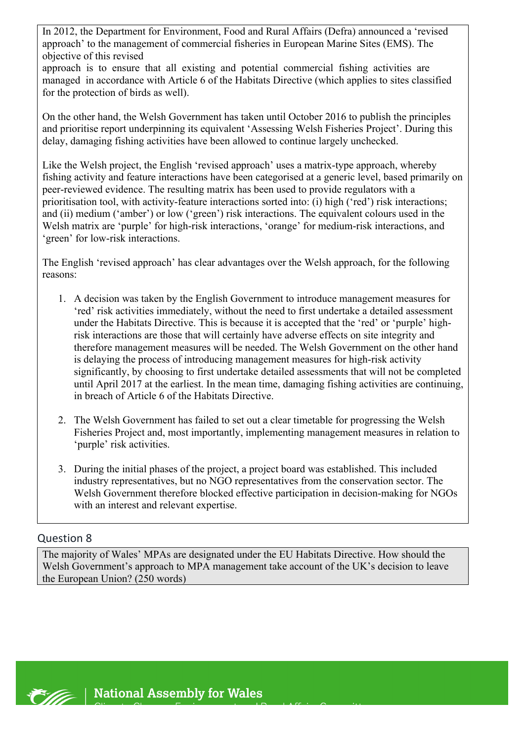In 2012, the Department for Environment, Food and Rural Affairs (Defra) announced a 'revised approach' to the management of commercial fisheries in European Marine Sites (EMS). The objective of this revised

approach is to ensure that all existing and potential commercial fishing activities are managed in accordance with Article 6 of the Habitats Directive (which applies to sites classified for the protection of birds as well).

On the other hand, the Welsh Government has taken until October 2016 to publish the principles and prioritise report underpinning its equivalent 'Assessing Welsh Fisheries Project'. During this delay, damaging fishing activities have been allowed to continue largely unchecked.

Like the Welsh project, the English 'revised approach' uses a matrix-type approach, whereby fishing activity and feature interactions have been categorised at a generic level, based primarily on peer-reviewed evidence. The resulting matrix has been used to provide regulators with a prioritisation tool, with activity-feature interactions sorted into: (i) high ('red') risk interactions; and (ii) medium ('amber') or low ('green') risk interactions. The equivalent colours used in the Welsh matrix are 'purple' for high-risk interactions, 'orange' for medium-risk interactions, and 'green' for low-risk interactions.

The English 'revised approach' has clear advantages over the Welsh approach, for the following reasons:

- 1. A decision was taken by the English Government to introduce management measures for 'red' risk activities immediately, without the need to first undertake a detailed assessment under the Habitats Directive. This is because it is accepted that the 'red' or 'purple' highrisk interactions are those that will certainly have adverse effects on site integrity and therefore management measures will be needed. The Welsh Government on the other hand is delaying the process of introducing management measures for high-risk activity significantly, by choosing to first undertake detailed assessments that will not be completed until April 2017 at the earliest. In the mean time, damaging fishing activities are continuing, in breach of Article 6 of the Habitats Directive.
- 2. The Welsh Government has failed to set out a clear timetable for progressing the Welsh Fisheries Project and, most importantly, implementing management measures in relation to 'purple' risk activities.
- 3. During the initial phases of the project, a project board was established. This included industry representatives, but no NGO representatives from the conservation sector. The Welsh Government therefore blocked effective participation in decision-making for NGOs with an interest and relevant expertise.

### Question 8

The majority of Wales' MPAs are designated under the EU Habitats Directive. How should the Welsh Government's approach to MPA management take account of the UK's decision to leave the European Union? (250 words)

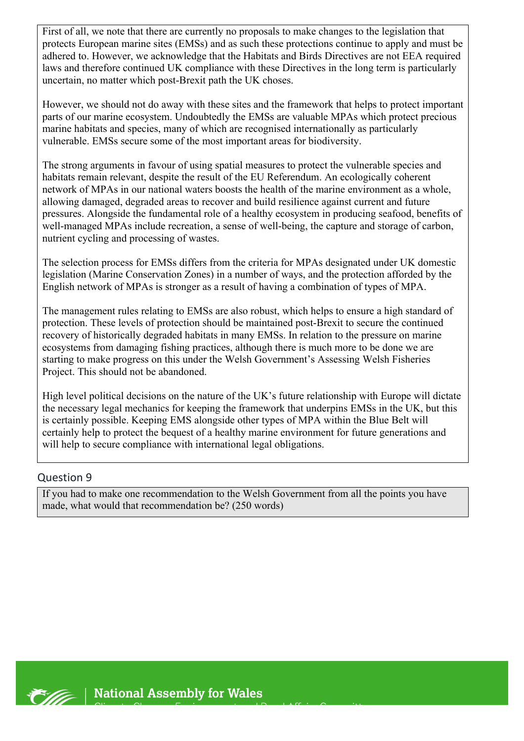First of all, we note that there are currently no proposals to make changes to the legislation that protects European marine sites (EMSs) and as such these protections continue to apply and must be adhered to. However, we acknowledge that the Habitats and Birds Directives are not EEA required laws and therefore continued UK compliance with these Directives in the long term is particularly uncertain, no matter which post-Brexit path the UK choses.

However, we should not do away with these sites and the framework that helps to protect important parts of our marine ecosystem. Undoubtedly the EMSs are valuable MPAs which protect precious marine habitats and species, many of which are recognised internationally as particularly vulnerable. EMSs secure some of the most important areas for biodiversity.

The strong arguments in favour of using spatial measures to protect the vulnerable species and habitats remain relevant, despite the result of the EU Referendum. An ecologically coherent network of MPAs in our national waters boosts the health of the marine environment as a whole, allowing damaged, degraded areas to recover and build resilience against current and future pressures. Alongside the fundamental role of a healthy ecosystem in producing seafood, benefits of well-managed MPAs include recreation, a sense of well-being, the capture and storage of carbon, nutrient cycling and processing of wastes.

The selection process for EMSs differs from the criteria for MPAs designated under UK domestic legislation (Marine Conservation Zones) in a number of ways, and the protection afforded by the English network of MPAs is stronger as a result of having a combination of types of MPA.

The management rules relating to EMSs are also robust, which helps to ensure a high standard of protection. These levels of protection should be maintained post-Brexit to secure the continued recovery of historically degraded habitats in many EMSs. In relation to the pressure on marine ecosystems from damaging fishing practices, although there is much more to be done we are starting to make progress on this under the Welsh Government's Assessing Welsh Fisheries Project. This should not be abandoned.

High level political decisions on the nature of the UK's future relationship with Europe will dictate the necessary legal mechanics for keeping the framework that underpins EMSs in the UK, but this is certainly possible. Keeping EMS alongside other types of MPA within the Blue Belt will certainly help to protect the bequest of a healthy marine environment for future generations and will help to secure compliance with international legal obligations.

### Question 9

If you had to make one recommendation to the Welsh Government from all the points you have made, what would that recommendation be? (250 words)